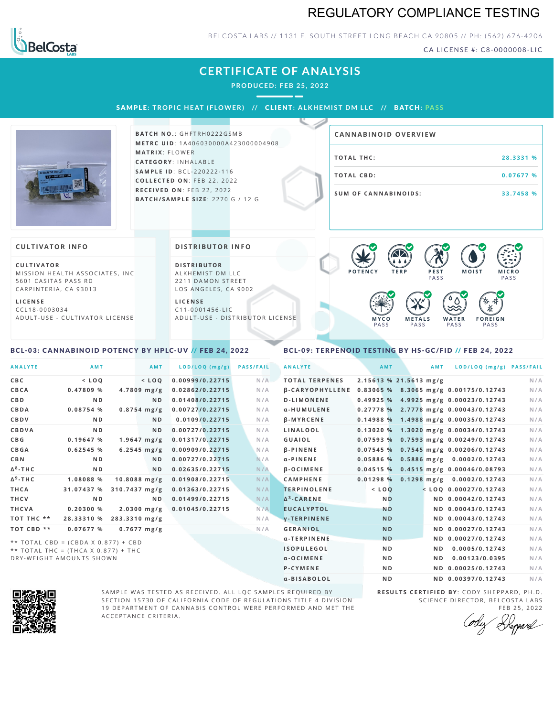## REGULATORY COMPLIANCE TESTING



BELCOSTA LABS // 1131 E. SOUTH STREET LONG BEACH C A 90805 // PH: (562) 676-4206

CA LICENSE #: C8-0000008-LIC

|                                                                                                                                                                           | <b>CERTIFICATE OF ANALYSIS</b><br><b>PRODUCED: FEB 25, 2022</b><br>SAMPLE: TROPIC HEAT (FLOWER) // CLIENT: ALKHEMIST DM LLC // BATCH: PASS                        |                                                                                                                                                                           |
|---------------------------------------------------------------------------------------------------------------------------------------------------------------------------|-------------------------------------------------------------------------------------------------------------------------------------------------------------------|---------------------------------------------------------------------------------------------------------------------------------------------------------------------------|
|                                                                                                                                                                           | <b>BATCH NO.: GHFTRH0222GSMB</b><br><b>METRC UID: 1A406030000A423000004908</b>                                                                                    | <b>CANNABINOID OVERVIEW</b>                                                                                                                                               |
|                                                                                                                                                                           | <b>MATRIX: FLOWER</b><br><b>CATEGORY: INHALABLE</b>                                                                                                               | <b>TOTAL THC:</b><br>28.3331 %                                                                                                                                            |
|                                                                                                                                                                           | <b>SAMPLE ID: BCL-220222-116</b><br>COLLECTED ON: FEB 22, 2022                                                                                                    | <b>TOTAL CBD:</b><br>0.07677 %                                                                                                                                            |
|                                                                                                                                                                           | RECEIVED ON: FEB 22, 2022<br><b>BATCH/SAMPLE SIZE: 2270 G / 12 G</b>                                                                                              | <b>SUM OF CANNABINOIDS:</b><br>33.7458 %                                                                                                                                  |
| <b>CULTIVATOR INFO</b>                                                                                                                                                    | <b>DISTRIBUTOR INFO</b>                                                                                                                                           | KV.                                                                                                                                                                       |
| <b>CULTIVATOR</b><br>MISSION HEALTH ASSOCIATES, INC<br>5601 CASITAS PASS RD<br>CARPINTERIA, CA 93013<br><b>LICENSE</b><br>CCL18-0003034<br>ADULT-USE - CULTIVATOR LICENSE | <b>DISTRIBUTOR</b><br>ALKHEMIST DM LLC<br>2211 DAMON STREET<br>LOS ANGELES, CA 9002<br><b>LICENSE</b><br>$C11 - 0001456 - LIC$<br>ADULT-USE - DISTRIBUTOR LICENSE | <b>POTENCY</b><br><b>MOIST</b><br><b>TERP</b><br>PEST<br><b>MICRO</b><br>PASS<br>PASS<br><b>METALS</b><br><b>FOREIGN</b><br>MYCO<br>WATER<br>PASS<br>PASS<br>PASS<br>PASS |

### <span id="page-0-0"></span>BCL-03: CANNABINOID POTENCY BY HPLC-UV // FEB 24, 2022

## <span id="page-0-1"></span>BCL-09: TERPENOID TESTING BY HS-GC/FID // FEB 24, 2022

| <b>ANALYTE</b>  | <b>AMT</b>                            |               | AMT                   | LOD/LOQ (mg/g)  | <b>PASS/FAIL</b> | <b>ANALYTE</b>         | AMT                    | <b>AMT</b>     | LOD/LOQ (mg/g) PASS/FAIL              |     |
|-----------------|---------------------------------------|---------------|-----------------------|-----------------|------------------|------------------------|------------------------|----------------|---------------------------------------|-----|
| C B C           | $<$ LOO                               |               | $<$ LOO               | 0.00999/0.22715 | N/A              | <b>TOTAL TERPENES</b>  | 2.15613 % 21.5613 mg/g |                |                                       | N/A |
| CBCA            | 0.47809%                              |               | $4.7809$ mg/g         | 0.02862/0.22715 | N/A              | <b>B-CARYOPHYLLENE</b> |                        |                | 0.83065 % 8.3065 mg/g 0.00175/0.12743 | N/A |
| <b>CBD</b>      | N <sub>D</sub>                        |               | N <sub>D</sub>        | 0.01408/0.22715 | N/A              | <b>D-LIMONENE</b>      |                        |                | 0.49925 % 4.9925 mg/g 0.00023/0.12743 | N/A |
| CBDA            | 0.08754 %                             |               | $0.8754$ mg/g         | 0.00727/0.22715 | N/A              | α-HUMULENE             |                        |                | 0.27778 % 2.7778 mg/g 0.00043/0.12743 | N/A |
| CBDV            | N <sub>D</sub>                        |               | N <sub>D</sub>        | 0.0109/0.22715  | N/A              | $\beta$ -MYRCENE       |                        |                | 0.14988 % 1.4988 mg/g 0.00035/0.12743 | N/A |
| CBDVA           | N <sub>D</sub>                        |               | N <sub>D</sub>        | 0.00727/0.22715 | N/A              | LINALOOL               |                        |                | 0.13020 % 1.3020 mg/g 0.00034/0.12743 | N/A |
| C B G           | 0.19647%                              |               | $1.9647$ mg/g         | 0.01317/0.22715 | N/A              | GUAIOL                 |                        |                | 0.07593 % 0.7593 mg/g 0.00249/0.12743 | N/A |
| CBGA            | 0.62545%                              |               | $6.2545 \, mg/g$      | 0.00909/0.22715 | N/A              | <b>B-PINENE</b>        |                        |                | 0.07545 % 0.7545 mg/g 0.00206/0.12743 | N/A |
| <b>CBN</b>      | N <sub>D</sub>                        |               | N <sub>D</sub>        | 0.00727/0.22715 | N/A              | $\alpha$ -PINENE       |                        |                | 0.05886 % 0.5886 mg/g 0.0002/0.12743  | N/A |
| $\Delta^8$ -THC | N <sub>D</sub>                        |               | N <sub>D</sub>        | 0.02635/0.22715 | N/A              | <b>B-OCIMENE</b>       |                        |                | 0.04515 % 0.4515 mg/g 0.00046/0.08793 | N/A |
| $\Delta^9$ -THC | 1.08088 %                             |               | $10.8088$ mg/g        | 0.01908/0.22715 | N/A              | <b>CAMPHENE</b>        | 0.01298%               |                | $0.1298$ mg/g $0.0002/0.12743$        | N/A |
| <b>THCA</b>     | 31.07437 %                            |               | 310.7437 mg/g         | 0.01363/0.22715 | N/A              | <b>TERPINOLENE</b>     | $<$ LOQ                |                | $<$ LOQ 0.00027/0.12743               | N/A |
| THCV            | N <sub>D</sub>                        |               | N <sub>D</sub>        | 0.01499/0.22715 | N/A              | $\Delta^3$ -CARENE     | <b>ND</b>              |                | ND 0.00042/0.12743                    | N/A |
| <b>THCVA</b>    | 0.20300%                              |               | $2.0300$ mg/g         | 0.01045/0.22715 | N/A              | <b>EUCALYPTOL</b>      | <b>ND</b>              |                | ND 0.00043/0.12743                    | N/A |
| TOT THC **      | 28.33310 %                            | 283.3310 mg/g |                       |                 | N/A              | <b>V-TERPINENE</b>     | <b>ND</b>              |                | ND 0.00043/0.12743                    | N/A |
| TOT CBD **      | 0.07677 %                             |               | $0.7677 \text{ mg/g}$ |                 | N/A              | <b>GERANIOL</b>        | <b>ND</b>              |                | ND 0.00027/0.12743                    | N/A |
|                 | ** TOTAL CBD = (CBDA X 0.877) + CBD   |               |                       |                 |                  | α-TERPINENE            | <b>ND</b>              |                | ND 0.00027/0.12743                    | N/A |
|                 | ** TOTAL THC = $(THCA X 0.877) + THC$ |               |                       |                 |                  | <b>ISOPULEGOL</b>      | N <sub>D</sub>         | N <sub>D</sub> | 0.0005/0.12743                        | N/A |
|                 | DRY-WEIGHT AMOUNTS SHOWN              |               |                       |                 |                  | $\alpha$ -OCIMENE      | N <sub>D</sub>         | N <sub>D</sub> | 0.00123/0.0395                        | N/A |
|                 |                                       |               |                       |                 |                  | <b>P-CYMENE</b>        | N <sub>D</sub>         |                | ND 0.00025/0.12743                    | N/A |



SAMPLE WAS TESTED AS RECEIVED. ALL LQC SAMPLES REQUIRED BY SECTION 15730 OF CALIFORNIA CODE OF REGULATIONS TITLE 4 DIVISION 19 DEPARTMENT OF CANNABIS CONTROL WERE PERFORMED AND MET THE A C C E P T A N C E C R I T E R I A.

**R E S U L T S C E R T I F I E D BY** : C O D Y S H E P P A R D ,P H .D . SCIENCE DIRECTOR, BELCOSTA LABS

α-BISABOLOL **ND ND 0.00397/0.12743** N/A

FEB 25, 2022<br>Heppard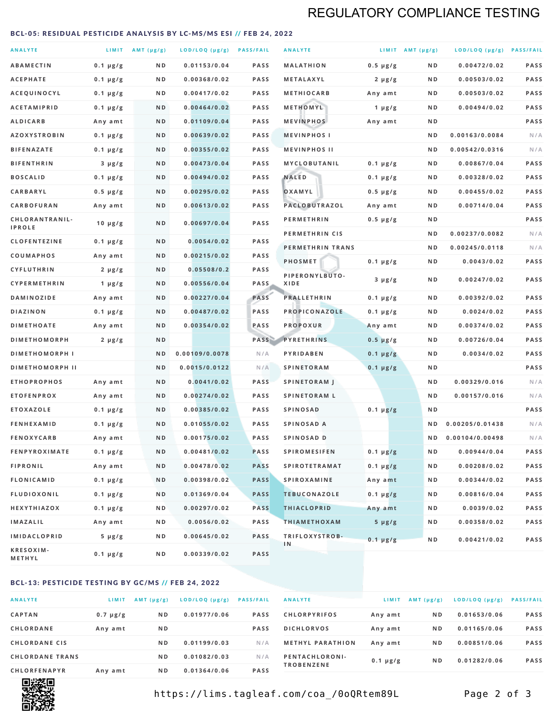# REGULATORY COMPLIANCE TESTING

#### <span id="page-1-0"></span>BCL-05: RESIDUAL PESTICIDE ANALYSIS BY LC-MS/MS ESI // FEB 24, 2022

| <b>ANALYTE</b>                          |                    | LIMIT AMT (µg/g) | LOD/LOQ (µg/g) PASS/FAIL    |                     | <b>ANALYTE</b>                             |                          | LIMIT AMT $(\mu g/g)$ | LOD/LOQ (µg/g) PASS/FAIL       |            |
|-----------------------------------------|--------------------|------------------|-----------------------------|---------------------|--------------------------------------------|--------------------------|-----------------------|--------------------------------|------------|
| <b>ABAMECTIN</b>                        | $0.1 \mu g/g$      | N D              | 0.01153/0.04                | <b>PASS</b>         | <b>MALATHION</b>                           | $0.5 \mu g/g$            | N D                   | 0.00472/0.02                   | PASS       |
| <b>ACEPHATE</b>                         | $0.1 \mu g/g$      | ND               | 0.00368/0.02                | <b>PASS</b>         | METALAXYL                                  | $2 \mu g/g$              | N D                   | 0.00503/0.02                   | PASS       |
| ACEQUINOCYL                             | $0.1 \mu g/g$      | N D              | 0.00417/0.02                | <b>PASS</b>         | <b>METHIOCARB</b>                          | Any amt                  | N D                   | 0.00503/0.02                   | PASS       |
| <b>ACETAMIPRID</b>                      | $0.1 \mu g/g$      | N D              | 0.00464/0.02                | <b>PASS</b>         | METHOMYL                                   | 1 $\mu$ g/g              | N D                   | 0.00494/0.02                   | PASS       |
| <b>ALDICARB</b>                         | Any amt            | N D              | 0.01109/0.04                | <b>PASS</b>         | <b>MEVINPHOS</b>                           | Any amt                  | N D                   |                                | PASS       |
| <b>AZOXYSTROBIN</b>                     | $0.1 \mu g/g$      | N D              | 0.00639/0.02                | <b>PASS</b>         | <b>MEVINPHOSI</b>                          |                          | N D                   | 0.00163/0.0084                 | N/A        |
| <b>BIFENAZATE</b>                       | $0.1 \mu g/g$      | N D              | 0.00355/0.02                | <b>PASS</b>         | <b>MEVINPHOS II</b>                        |                          | ND.                   | 0.00542/0.0316                 | N/A        |
| <b>BIFENTHRIN</b>                       | $3 \mu g/g$        | N D              | 0.00473/0.04                | <b>PASS</b>         | <b>MYCLOBUTANIL</b>                        | $0.1 \mu g/g$            | N D                   | 0.00867/0.04                   | PASS       |
| <b>BOSCALID</b>                         | $0.1 \mu g/g$      | N D              | 0.00494/0.02                | <b>PASS</b>         | <b>NALED</b>                               | $0.1 \mu g/g$            | N D                   | 0.00328/0.02                   | PASS       |
| CARBARYL                                | $0.5 \mu g/g$      | N D              | 0.00295/0.02                | <b>PASS</b>         | OXAMYL                                     | $0.5 \mu g/g$            | N D                   | 0.00455/0.02                   | PASS       |
| CARBOFURAN                              | Any amt            | N D              | 0.00613/0.02                | <b>PASS</b>         | PACLOBUTRAZOL                              | Any amt                  | N D                   | 0.00714/0.04                   | PASS       |
| CHLORANTRANIL-<br><b>IPROLE</b>         | $10 \mu g/g$       | N D              | 0.00697/0.04                | PASS                | <b>PERMETHRIN</b>                          | $0.5 \mu g/g$            | N D                   |                                | PASS       |
| <b>CLOFENTEZINE</b>                     |                    | N D              | 0.0054/0.02                 | <b>PASS</b>         | PERMETHRIN CIS                             |                          | N D                   | 0.00237/0.0082                 | N/A        |
|                                         | $0.1 \mu g/g$      | N D              | 0.00215/0.02                | <b>PASS</b>         | PERMETHRIN TRANS                           |                          | N D                   | 0.00245/0.0118                 | N/A        |
| <b>COUMAPHOS</b><br><b>CYFLUTHRIN</b>   | Any amt            | N D              | 0.05508/0.2                 | <b>PASS</b>         | <b>PHOSMET</b>                             | $0.1 \mu g/g$            | N D                   | 0.0043/0.02                    | PASS       |
| CYPERMETHRIN                            | $2 \mu g/g$        | N D              | 0.00556/0.04                | <b>PASS</b>         | PIPERONYLBUTO-<br>XIDE                     | $3 \mu g/g$              | N D                   | 0.00247/0.02                   | PASS       |
| <b>DAMINOZIDE</b>                       | 1 $\mu$ g/g        | N D              | 0.00227/0.04                | PASS                | <b>PRALLETHRIN</b>                         | $0.1 \mu g/g$            | N D                   | 0.00392/0.02                   | PASS       |
| <b>DIAZINON</b>                         | Any amt            | N D              | 0.00487/0.02                | <b>PASS</b>         | PROPICONAZOLE                              |                          | N D                   | 0.0024/0.02                    | PASS       |
| <b>DIMETHOATE</b>                       | $0.1 \mu g/g$      | N D              | 0.00354/0.02                | PASS                | <b>PROPOXUR</b>                            | $0.1 \mu g/g$            | N D                   | 0.00374/0.02                   | PASS       |
| <b>DIMETHOMORPH</b>                     | Any amt            | ND               |                             | PASS                | <b>PYRETHRINS</b>                          | Any amt<br>$0.5 \mu g/g$ | N D                   | 0.00726/0.04                   | PASS       |
| <b>DIMETHOMORPH I</b>                   | $2 \mu g/g$        | ND               | 0.00109/0.0078              | N/A                 | PYRIDABEN                                  |                          | N D                   | 0.0034/0.02                    | PASS       |
|                                         |                    |                  |                             |                     |                                            | $0.1 \mu g/g$            |                       |                                | PASS       |
| <b>DIMETHOMORPH II</b>                  |                    | ND               | 0.0015/0.0122               | N/A                 | <b>SPINETORAM</b>                          | $0.1 \mu g/g$            | N D                   |                                |            |
| <b>ETHOPROPHOS</b><br><b>ETOFENPROX</b> | Any amt<br>Any amt | N D<br>N D       | 0.0041/0.02<br>0.00274/0.02 | <b>PASS</b><br>PASS | <b>SPINETORAM J</b><br><b>SPINETORAM L</b> |                          | N D<br>N D            | 0.00329/0.016<br>0.00157/0.016 | N/A<br>N/A |
| <b>ETOXAZOLE</b>                        | $0.1 \mu g/g$      | ND               | 0.00385/0.02                | <b>PASS</b>         | <b>SPINOSAD</b>                            | $0.1 \mu g/g$            | N D                   |                                | PASS       |
| <b>FENHEXAMID</b>                       | $0.1 \mu g/g$      | N D              | 0.01055/0.02                | <b>PASS</b>         | SPINOSAD A                                 |                          | N D                   | 0.00205/0.01438                | N/A        |
| <b>FENOXYCARB</b>                       | Any amt            | N D              | 0.00175/0.02                | <b>PASS</b>         | SPINOSAD D                                 |                          | N <sub>D</sub>        | 0.00104/0.00498                | N/A        |
| <b>FENPYROXIMATE</b>                    | $0.1 \mu g/g$      | N D              | 0.00481/0.02                | <b>PASS</b>         | <b>SPIROMESIFEN</b>                        | $0.1 \mu g/g$            | N D                   | 0.00944/0.04                   | PASS       |
| <b>FIPRONIL</b>                         | Any amt            | N D              | 0.00478/0.02                | <b>PASS</b>         | <b>SPIROTETRAMAT</b>                       | $0.1 \mu g/g$            | N D                   | 0.00208/0.02                   | PASS       |
| <b>FLONICAMID</b>                       | $0.1 \mu g/g$      | N D              | 0.00398/0.02                | <b>PASS</b>         | <b>SPIROXAMINE</b>                         | Any amt                  | N D                   | 0.00344/0.02                   | PASS       |
| FLUDIOXONIL                             | $0.1 \mu g/g$      | N D              | 0.01369/0.04                | <b>PASS</b>         | <b>TEBUCONAZOLE</b>                        | $0.1 \mu g/g$            | N D                   | 0.00816/0.04                   | PASS       |
| HEXYTHIAZOX                             | 0.1 µg/g           | N D              | 0.00297/0.02                | <b>PASS</b>         | <b>THIACLOPRID</b>                         | Any amt                  | N D                   | 0.0039/0.02                    | PASS       |
| <b>IMAZALIL</b>                         | Any amt            | N D              | 0.0056/0.02                 | PASS                | <b>THIAMETHOXAM</b>                        | $5 \mu g/g$              | N D                   | 0.00358/0.02                   | PASS       |
| <b>IMIDACLOPRID</b>                     | $5 \mu g/g$        | ND               | 0.00645/0.02                | <b>PASS</b>         | TRIFLOXYSTROB-                             |                          |                       |                                |            |
| KRESOXIM-<br>METHYL                     | $0.1 \mu g/g$      | N D              | 0.00339/0.02                | <b>PASS</b>         | 1 <sub>N</sub>                             | $0.1 \mu g/g$            | N D                   | 0.00421/0.02                   | PASS       |

#### BCL-13: PESTICIDE TESTING BY GC/MS // FEB 24, 2022

| <b>ANALYTE</b>         | LIMIT         | $AMT$ ( $\mu g/g$ ) | LOD/LOQ (µg/g) | <b>PASS/FAIL</b> |
|------------------------|---------------|---------------------|----------------|------------------|
| <b>CAPTAN</b>          | $0.7 \mu g/g$ | N <sub>D</sub>      | 0.01977/0.06   | <b>PASS</b>      |
| CHLORDANE              | Any amt       | N <sub>D</sub>      |                | <b>PASS</b>      |
| <b>CHLORDANE CIS</b>   |               | N <sub>D</sub>      | 0.01199/0.03   | N/A              |
| <b>CHLORDANE TRANS</b> |               | N <sub>D</sub>      | 0.01082/0.03   | N/A              |
| <b>CHLORFENAPYR</b>    | Any amt       | N <sub>D</sub>      | 0.01364/0.06   | <b>PASS</b>      |

| <b>ANALYTE</b>                      | LIMIT         | $AMT (\mu g/g)$ | $LOD/LOQ$ ( $\mu g/g$ ) | <b>PASS/FAIL</b> |
|-------------------------------------|---------------|-----------------|-------------------------|------------------|
| <b>CHLORPYRIFOS</b>                 | Any amt       | N <sub>D</sub>  | 0.01653/0.06            | <b>PASS</b>      |
| <b>DICHLORVOS</b>                   | Any amt       | N <sub>D</sub>  | 0.01165/0.06            | <b>PASS</b>      |
| <b>METHYL PARATHION</b>             | Any amt       | N <sub>D</sub>  | 0.00851/0.06            | <b>PASS</b>      |
| PENTACHLORONI-<br><b>TROBENZENE</b> | $0.1 \mu g/g$ | N <sub>D</sub>  | 0.01282/0.06            | <b>PASS</b>      |